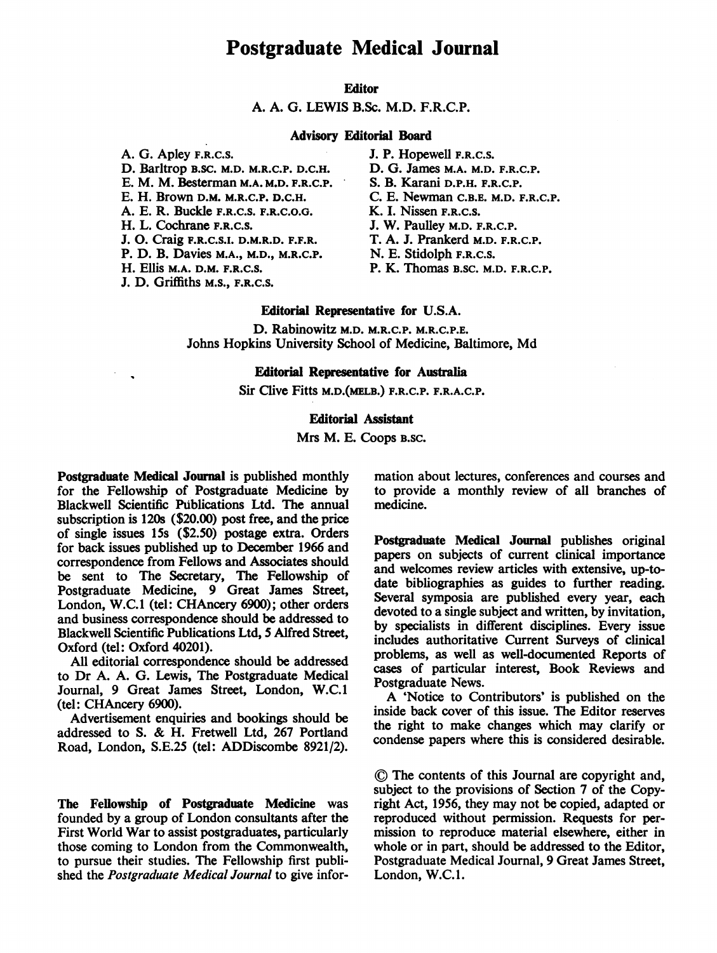# Postgraduate Medical Journal

# Editor

A. A. G. LEWIS B.Sc. M.D. F.R.C.P.

## Advisory Editorial Board

A. G. Apley F.R.C.S. D. Barltrop B.SC. M.D. M.R.C.P. D.C.H. E. M. M. Besterman M.A. M.D. F.R.C.P. E. H. Brown D.M. M.R.C.P. D.C.H. A. E. R. Buckle F.R.C.S. F.R.C.O.G. H. L. Cochrane F.R.C.S. J. O. Craig F.R.C.S.I. D.M.R.D. F.F.R. P. D. B. Davies M.A., M.D., M.R.C.P. H. Ellis M.A. D.M. F.R.C.S. J. D. Griffiths M.S., F.R.C.S.

- J. P. Hopewell F.R.C.S. D. G. James M.A. M.D. F.R.C.P. S. B. Karani D.P.H. F.R.C.P. C. E. Newman C.B.E. M.D. F.R.C.P. K. I. Nissen F.R.C.S. J. W. Paulley M.D. F.R.C.P. T. A. J. Prankerd M.D. F.R.C.P. N. E. Stidolph F.R.C.S. P. K. Thomas B.SC. M.D. F.R.C.P.
- Editorial Representative for U.S.A.

D. Rabinowitz M.D. M.R.C.P. M.R.C.P.E. Johns Hopkins University School of Medicine, Baltimore, Md

## Editorial Representative for Australia

Sir Clive Fitts M.D.(MELB.) F.R.C.P. F.R.A.C.P.

# Editorial Assistant

Mrs M. E. Coops B.SC.

Postgraduate Medical Journal is published monthly for the Fellowship of Postgraduate Medicine by Blackwell Scientific Publications Ltd. The annual subscription is 120s (\$20.00) post free, and the price of single issues 15s (\$2.50) postage extra. Orders for back issues published up to December 1966 and correspondence from Fellows and Associates should be sent to The Secretary, The Fellowship of Postgraduate Medicine, 9 Great James Street, London, W.C.1 (tel: CHAncery 6900); other orders and business correspondence should be addressed to Blackwell Scientific Publications Ltd, 5 Alfred Street, Oxford (tel: Oxford 40201).

All editorial correspondence should be addressed to Dr A. A. G. Lewis, The Postgraduate Medical Journal, 9 Great James Street, London, W.C.1 (tel: CHAncery 6900).

Advertisement enquiries and bookings should be addressed to S. & H. Fretwell Ltd, <sup>267</sup> Portland Road, London, S.E.25 (tel: ADDiscombe 8921/2).

The Fellowship of Postgraduate Medicine was founded by a group of London consultants after the First World War to assist postgraduates, particularly those coming to London from the Commonwealth, to pursue their studies. The Fellowship first published the Postgraduate Medical Journal to give information about lectures, conferences and courses and to provide a monthly review of all branches of medicine.

Postgraduate Medical Journal publishes original papers on subjects of current clinical importance and welcomes review articles with extensive, up-todate bibliographies as guides to further reading. Several symposia are published every year, each devoted to a single subject and written, by invitation, by specialists in different disciplines. Every issue includes authoritative Current Surveys of clinical problems, as well as well-documented Reports of cases of particular interest, Book Reviews and Postgraduate News.

A 'Notice to Contributors' is published on the inside back cover of this issue. The Editor reserves the right to make changes which may clarify or condense papers where this is considered desirable.

© The contents of this Journal are copyright and, subject to the provisions of Section 7 of the Copyright Act, 1956, they may not be copied, adapted or reproduced without permission. Requests for permission to reproduce material elsewhere, either in whole or in part, should be addressed to the Editor, Postgraduate Medical Journal, 9 Great James Street, London, W.C.1.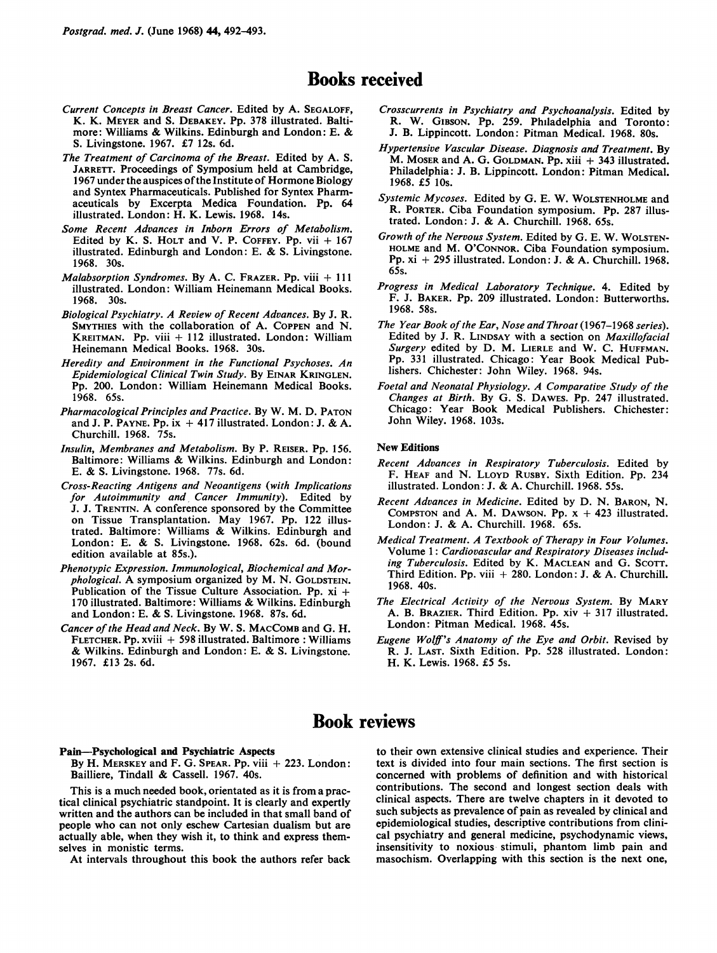# Books received

- Current Concepts in Breast Cancer. Edited by A. SEGALOFF, K. K. MEYER and S. DEBAKEY. Pp. 378 illustrated. Baltimore: Williams & Wilkins. Edinburgh and London: E. & S. Livingstone. 1967. £7 12s. 6d.
- The Treatment of Carcinoma of the Breast. Edited by A. S. JARRETT. Proceedings of Symposium held at Cambridge, 1967 under the auspices ofthe Institute of Hormone Biology and Syntex Pharmaceuticals. Published for Syntex Pharmaceuticals by Excerpta Medica Foundation. Pp. 64 illustrated. London: H. K. Lewis. 1968. 14s.
- Some Recent Advances in Inborn Errors of Metabolism. Edited by K. S. HOLT and V. P. COFFEY. Pp. vii  $+167$ illustrated. Edinburgh and London: E. & S. Livingstone. 1968. 30s.
- Malabsorption Syndromes. By A. C. FRAZER. Pp. viii  $+111$ illustrated. London: William Heinemann Medical Books. 1968. 30s.
- Biological Psychiatry. A Review of Recent Advances. By J. R. SMYTHIES with the collaboration of A. COPPEN and N. KREITMAN. Pp. viii + 112 illustrated. London: William Heinemann Medical Books. 1968. 30s.
- Heredity and Environment in the Functional Psychoses. An Epidemiological Clinical Twin Study. By EINAR KRINGLEN. Pp. 200. London: William Heinemann Medical Books. 1968. 65s.
- Pharmacological Principles and Practice. By W. M. D. PATON and J. P. PAYNE. Pp. ix  $+417$  illustrated. London: J. & A. Churchill. 1968. 75s.
- Insulin, Membranes and Metabolism. By P. REISER. Pp. 156. Baltimore: Williams & Wilkins. Edinburgh and London: E. & S. Livingstone. 1968. 77s. 6d.
- Cross-Reacting Antigens and Neoantigens (with Implications for Autoimmunity and Cancer Immunity). Edited by J. J. TRENTIN. A conference sponsored by the Committee on Tissue Transplantation. May 1967. Pp. 122 illustrated. Baltimore: Williams & Wilkins. Edinburgh and London: E. & S. Livingstone. 1968. 62s. 6d. (bound edition available at 85s.).
- Phenotypic Expression. Immunological, Biochemical and Morphological. A symposium organized by M. N. GOLDSTEIN. Publication of the Tissue Culture Association. Pp. xi + <sup>170</sup> illustrated. Baltimore: Williams & Wilkins. Edinburgh and London: E. & S. Livingstone. 1968. 87s. 6d.
- Cancer of the Head and Neck. By W. S. MACCOMB and G. H. FLETCHER. Pp. xviii + 598 illustrated. Baltimore : Williams & Wilkins. Edinburgh and London: E. & S. Livingstone. 1967. £13 2s. 6d.
- Crosscurrents in Psychiatry and Psychoanalysis. Edited by R. W. GIBSON. Pp. 259. Philadelphia and Toronto: J. B. Lippincott. London: Pitman Medical. 1968. 80s.
- Hypertensive Vascular Disease. Diagnosis and Treatment. By M. MOSER and A. G. GOLDMAN. Pp. xiii + 343 illustrated. Philadelphia: J. B. Lippincott. London: Pitman Medical. 1968. £5 lOs.
- Systemic Mycoses. Edited by G. E. W. WOLSTENHOLME and R. PORTER. Ciba Foundation symposium. Pp. 287 illustrated. London: J. & A. Churchill. 1968. 65s.
- Growth of the Nervous System. Edited by G. E. W. WOLSTEN-HOLME and M. O'CONNOR. Ciba Foundation symposium. Pp. xi + <sup>295</sup> illustrated. London: J. & A. Churchill. 1968. 65s.
- Progress in Medical Laboratory Technique. 4. Edited by F. J. BAKER. Pp. 209 illustrated. London: Butterworths. 1968. 58s.
- The Year Book of the Ear, Nose and Throat (1967-1968 series). Edited by J. R. LINDSAY with a section on Maxillofacial Surgery edited by D. M. LIERLE and W. C. HUFFMAN. Pp. 331 illustrated. Chicago: Year Book Medical Publishers. Chichester: John Wiley. 1968. 94s.
- Foetal and Neonatal Physiology. A Comparative Study of the Changes at Birth. By G. S. DAWES. Pp. 247 illustrated. Chicago: Year Book Medical Publishers. Chichester: John Wiley. 1968. 103s.

#### New Editions

- Recent Advances in Respiratory Tuberculosis. Edited by F. HEAF and N. LLOYD RUSBY. Sixth Edition. Pp. 234 illustrated. London: J. & A. Churchill. 1968. 55s.
- Recent Advances in Medicine. Edited by D. N. BARON, N. COMPSTON and A. M. DAWSON. Pp.  $x + 423$  illustrated. London: J. & A. Churchill. 1968. 65s.
- Medical Treatment. A Textbook of Therapy in Four Volumes. Volume 1: Cardiovascular and Respiratory Diseases including Tuberculosis. Edited by K. MACLEAN and G. SCOTT. Third Edition. Pp. viii + 280. London: J. & A. Churchill. 1968. 40s.
- The Electrical Activity of the Nervous System. By MARY A. B. BRAZIER. Third Edition. Pp. xiv + 317 illustrated. London: Pitman Medical. 1968. 45s.
- Eugene Wolff's Anatomy of the Eye and Orbit. Revised by R. J. LAST. Sixth Edition. Pp. 528 illustrated. London: H. K. Lewis. 1968. £5 5s.

# Book reviews

#### Pain-Psychological and Psychiatric Aspects

By H. MERSKEY and F. G. SPEAR. Pp. viii + 223. London: Bailliere, Tindall & Cassell. 1967. 40s.

This is a much needed book, orientated as it is from a practical clinical psychiatric standpoint. It is clearly and expertly written and the authors can be included in that small band of people who can not only eschew Cartesian dualism but are actually able, when they wish it, to think and express themselves in monistic terms.

At intervals throughout this book the authors refer back

to their own extensive clinical studies and experience. Their text is divided into four main sections. The first section is concerned with problems of definition and with historical contributions. The second and longest section deals with clinical aspects. There are twelve chapters in it devoted to such subjects as prevalence of pain as revealed by clinical and epidemiological studies, descriptive contributions from clinical psychiatry and general medicine, psychodynamic views, insensitivity to noxious stimuli, phantom limb pain and masochism. Overlapping with this section is the next one,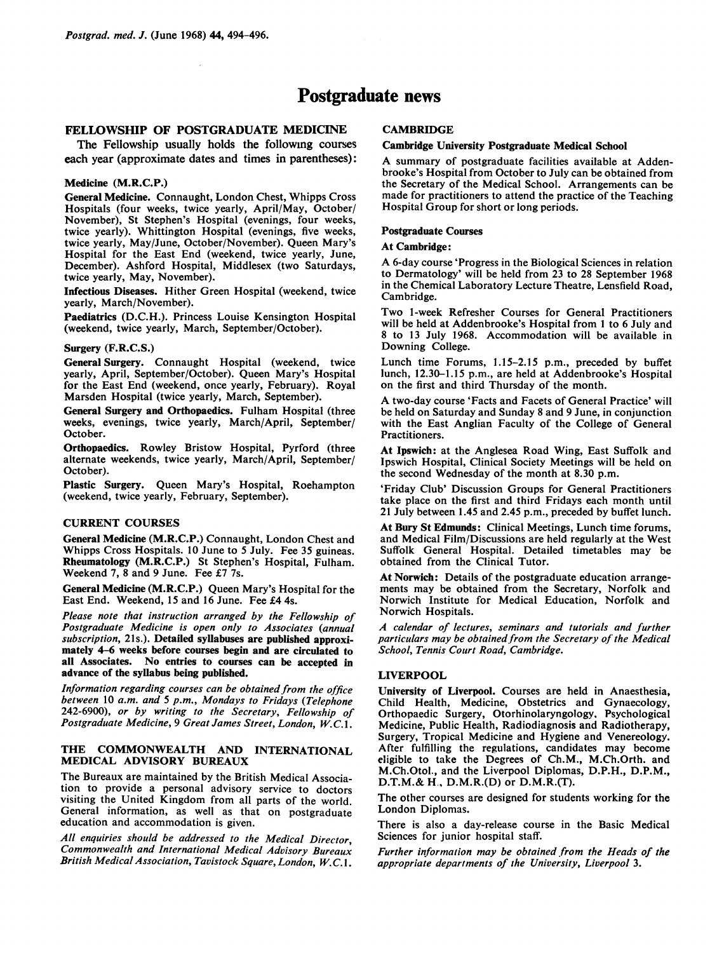# Postgraduate news

## FELLOWSHIP OF POSTGRADUATE MEDICINE

The Fellowship usually holds the following courses each year (approximate dates and times in parentheses):

### Medicine (M.R.C.P.)

General Medicine. Connaught, London Chest, Whipps Cross Hospitals (four weeks, twice yearly, April/May, October/ November), St Stephen's Hospital (evenings, four weeks, twice yearly). Whittington Hospital (evenings, five weeks, twice yearly, May/June, October/November). Queen Mary's Hospital for the East End (weekend, twice yearly, June, December). Ashford Hospital, Middlesex (two Saturdays, twice yearly, May, November).

Infectious Diseases. Hither Green Hospital (weekend, twice yearly, March/November).

Paediatrics (D.C.H.). Princess Louise Kensington Hospital (weekend, twice yearly, March, September/October).

#### Surgery (F.R.C.S.)

General Surgery. Connaught Hospital (weekend, twice yearly, April, September/October). Queen Mary's Hospital for the East End (weekend, once yearly, February). Royal Marsden Hospital (twice yearly, March, September).

General Surgery and Orthopaedics. Fulham Hospital (three weeks, evenings, twice yearly, March/April, September/ October.

Orthopaedics. Rowley Bristow Hospital, Pyrford (three alternate weekends, twice yearly, March/April, September/ October).

Plastic Surgery. Queen Mary's Hospital, Roehampton (weekend, twice yearly, February, September).

#### CURRENT COURSES

General Medicine (M.R.C.P.) Connaught, London Chest and Whipps Cross Hospitals. 10 June to <sup>5</sup> July. Fee 35 guineas. Rheumatology (M.R.C.P.) St Stephen's Hospital, Fulham. Weekend 7, 8 and 9 June. Fee £7 7s.

General Medicine (M.R.C.P.) Queen Mary's Hospital for the East End. Weekend, 15 and 16 June. Fee £4 4s.

Please note that instruction arranged by the Fellowship of Postgraduate Medicine is open only to Associates (annual subscription, 21s.). Detailed syllabuses are published approximately 4-6 weeks before courses begin and are circulated to all Associates. No entries to courses can be accepted in advance of the syllabus being published.

Information regarding courses can be obtained from the office between <sup>10</sup> a.m. and <sup>5</sup> p.m., Mondays to Fridays (Telephone 242-6900), or by writing to the Secretary, Fellowship of Postgraduate Medicine, 9 Great James Street, London, W.C.1.

## THE COMMONWEALTH AND INTERNATIONAL MEDICAL ADVISORY BUREAUX

The Bureaux are maintained by the British Medical Association to provide a personal advisory service to doctors visiting the United Kingdom from all parts of the world. General information, as well as that on postgraduate education and accommodation is given.

All enquiries should be addressed to the Medical Director, Commonwealth and International Medical Advisory Bureaux British Medical Association, Tavistock Square, London, W.C.1.

## **CAMBRIDGE**

#### Cambridge University Postgraduate Medical School

A summary of postgraduate facilities available at Addenbrooke's Hospital from October to July can be obtained from the Secretary of the Medical School. Arrangements can be made for practitioners to attend the practice of the Teaching Hospital Group for short or long periods.

#### Postgraduate Courses

#### At Cambridge:

A 6-day course 'Progress in the Biological Sciences in relation to Dermatology' will be held from 23 to 28 September 1968 in the Chemical Laboratory Lecture Theatre, Lensfield Road, Cambridge.

Two 1-week Refresher Courses for General Practitioners will be held at Addenbrooke's Hospital from <sup>I</sup> to 6 July and <sup>8</sup> to <sup>13</sup> July 1968. Accommodation will be available in Downing College.

Lunch time Forums, 1.15-2.15 p.m., preceded by buffet lunch, 12.30-1.15 p.m., are held at Addenbrooke's Hospital on the first and third Thursday of the month.

A two-day course 'Facts and Facets of General Practice' will be held on Saturday and Sunday <sup>8</sup> and 9 June, in conjunction with the East Anglian Faculty of the College of General Practitioners.

At Ipswich: at the Anglesea Road Wing, East Suffolk and Ipswich Hospital, Clinical Society Meetings will be held on the second Wednesday of the month at 8.30 p.m.

'Friday Club' Discussion Groups for General Practitioners take place on the first and third Fridays each month until 21 July between 1.45 and 2.45 p.m., preceded by buffet lunch.

At Bury St Edmunds: Clinical Meetings, Lunch time forums, and Medical Film/Discussions are held regularly at the West Suffolk General Hospital. Detailed timetables may be obtained from the Clinical Tutor.

At Norwich: Details of the postgraduate education arrangements may be obtained from the Secretary, Norfolk and Norwich Institute for Medical Education, Norfolk and Norwich Hospitals.

A calendar of lectures, seminars and tutorials and further particulars may be obtained from the Secretary of the Medical School, Tennis Court Road, Cambridge.

### LIVERPOOL

University of Liverpool. Courses are held in Anaesthesia, Child Health, Medicine, Obstetrics and Gynaecology, Orthopaedic Surgery, Otorhinolaryngology, Psychological Medicine, Public Health, Radiodiagnosis and Radiotherapy, Surgery, Tropical Medicine and Hygiene and Venereology. After fulfilling the regulations, candidates may become eligible to take the Degrees of Ch.M., M.Ch.Orth. and M.Ch.Otol., and the Liverpool Diplomas, D.P.H., D.P.M., D.T.M.& H., D.M.R.(D) or D.M.R.(T).

The other courses are designed for students working for the London Diplomas.

There is also a day-release course in the Basic Medical Sciences for junior hospital staff.

Further information may be obtained from the Heads of the appropriate departments of the University, Liverpool 3.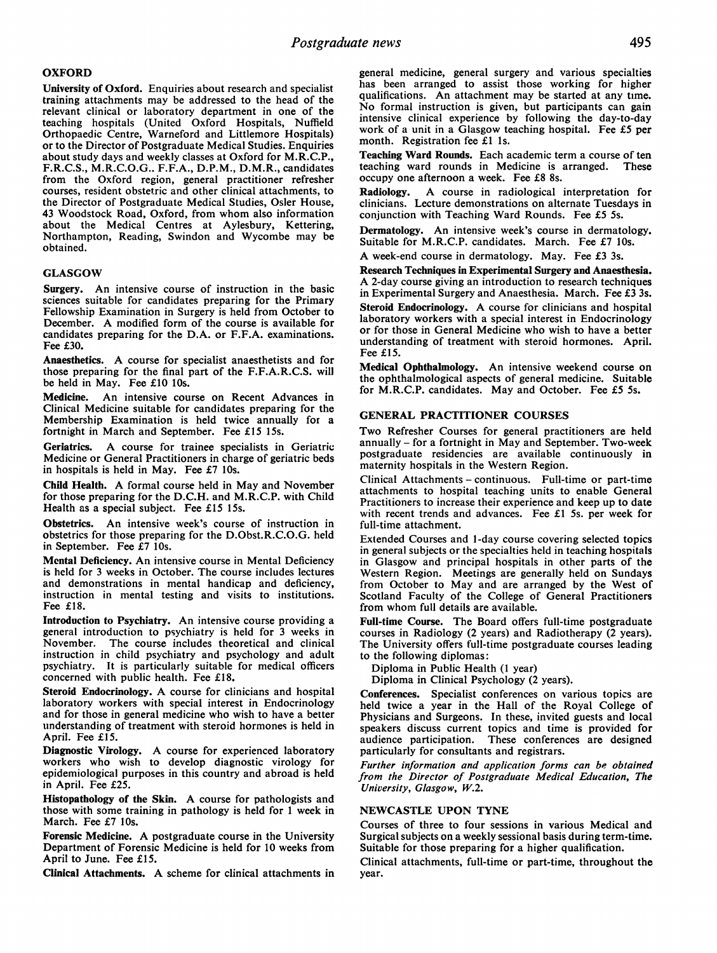## **OXFORD**

University of Oxford. Enquiries about research and specialist training attachments may be addressed to the head of the relevant clinical or laboratory department in one of the teaching hospitals (United Oxford Hospitals, Nuffield Orthopaedic Centre, Warneford and Littlemore Hospitals) or to the Director of Postgraduate Medical Studies. Enquiries about study days and weekly classes at Oxford for M.R.C.P., F.R.C.S., M.R.C.O.G.. F.F.A., D.P.M., D.M.R., candidates from the Oxford region, general practitioner refresher courses, resident obstetric and other clinical attachments, to the Director of Postgraduate Medical Studies, Osler House, <sup>43</sup> Woodstock Road, Oxford, from whom also information about the Medical Centres at Aylesbury, Kettering, Northampton, Reading, Swindon and Wycombe may be obtained.

#### GLASGOW

Surgery. An intensive course of instruction in the basic sciences suitable for candidates preparing for the Primary Fellowship Examination in Surgery is held from October to December. A modified form of the course is available for candidates preparing for the D.A. or F.F.A. examinations. Fee £30.

Anaesthetics. A course for specialist anaesthetists and for those preparing for the final part of the F.F.A.R.C.S. will be held in May. Fee £10 10s.

Medicine. An intensive course on Recent Advances in Clinical Medicine suitable for candidates preparing for the Membership Examination is held twice annually for a fortnight in March and September. Fee £15 15s.

Geriatrics. A course for trainee specialists in Geriatric Medicine or General Practitioners in charge of geriatric beds in hospitals is held in May. Fee £7 10s.

Child Health. A formal course held in May and November for those preparing for the D.C.H. and M.R.C.P. with Child Health as a special subject. Fee £15 15s.

Obstetrics. An intensive week's course of instruction in obstetrics for those preparing for the D.Obst.R.C.O.G. held in September. Fee £7 10s.

Mental Deficiency. An intensive course in Mental Deficiency is held for <sup>3</sup> weeks in October. The course includes lectures and demonstrations in mental handicap and deficiency, instruction in mental testing and visits to institutions. Fee £18.

Introduction to Psychiatry. An intensive course providing <sup>a</sup> general introduction to psychiatry is held for <sup>3</sup> weeks in November. The course includes theoretical and clinical instruction in child psychiatry and psychology and adult psychiatry. It is particularly suitable for medical officers concerned with public health. Fee £18.

Steroid Endocrinology. A course for clinicians and hospital laboratory workers with special interest in Endocrinology and for those in general medicine who wish to have a better understanding of treatment with steroid hormones is held in April. Fee £15.

Diagnostic Virology. A course for experienced laboratory workers who wish to develop diagnostic virology for epidemiological purposes in this country and abroad is held in April. Fee £25.

Histopathology of the Skin. A course for pathologists and those with some training in pathology is held for <sup>1</sup> week in March. Fee £7 10s.

Forensic Medicine. A postgraduate course in the University Department of Forensic Medicine is held for 10 weeks from April to June. Fee £15.

Clinical Attachments. A scheme for clinical attachments in

general medicine, general surgery and various specialties has been arranged to assist those working for higher qualifications. An attachment may be started at any time. No formal instruction is given, but participants can gain intensive clinical experience by following the day-to-day work of a unit in a Glasgow teaching hospital. Fee £5 per month. Registration fee £1 Is.

Teaching Ward Rounds. Each academic term <sup>a</sup> course of ten teaching ward rounds in Medicine is arranged. These occupy one afternoon a week. Fee £8 8s.<br>Radiology. A course in radiological

A course in radiological interpretation for clinicians. Lecture demonstrations on alternate Tuesdays in conjunction with Teaching Ward Rounds. Fee £5 5s.

Dermatology. An intensive week's course in dermatology. Suitable for M.R.C.P. candidates. March. Fee £7 10s.

A week-end course in dermatology. May. Fee £3 3s.

Research Techniques in Experimental Surgery and Anaesthesia. A 2-day course giving an introduction to research techniques in Experimental Surgery and Anaesthesia. March. Fee £3 3s.

Steroid Endocrinology. A course for clinicians and hospital laboratory workers with a special interest in Endocrinology or for those in General Medicine who wish to have a better understanding of treatment with steroid hormones. April. Fee £15.

Medical Ophthalmology. An intensive weekend course on the ophthalmological aspects of general medicine. Suitable for M.R.C.P. candidates. May and October. Fee £5 5s.

### GENERAL PRACTITIONER COURSES

Two Refresher Courses for general practitioners are held annually  $-$  for a fortnight in May and September. Two-week postgraduate residencies are available continuously in maternity hospitals in the Western Region.

Clinical Attachments - continuous. Full-time or part-time attachments to hospital teaching units to enable General Practitioners to increase their experience and keep up to date with recent trends and advances. Fee £1 5s. per week for full-time attachment.

Extended Courses and 1-day course covering selected topics in general subjects or the specialties held in teaching hospitals in Glasgow and principal hospitals in other parts of the Western Region. Meetings are generally held on Sundays from October to May and are arranged by the West of Scotland Faculty of the College of General Practitioners from whom full details are available.

Full-time Course. The Board offers full-time postgraduate courses in Radiology (2 years) and Radiotherapy (2 years). The University offers full-time postgraduate courses leading to the following diplomas:

Diploma in Public Health (1 year)

Diploma in Clinical Psychology (2 years).

Conferences. Specialist conferences on various topics are held twice a year in the Hall of the Royal College of Physicians and Surgeons. In these, invited guests and local speakers discuss current topics and time is provided for audience participation. These conferences are designed particularly for consultants and registrars.

Further information and application forms can be obtained from the Director of Postgraduate Medical Education, The University, Glasgow, W.2.

### NEWCASTLE UPON TYNE

Courses of three to four sessions in various Medical and Surgical subjects on a weekly sessional basis during term-time. Suitable for those preparing for a higher qualification.

Clinical attachments, full-time or part-time, throughout the year.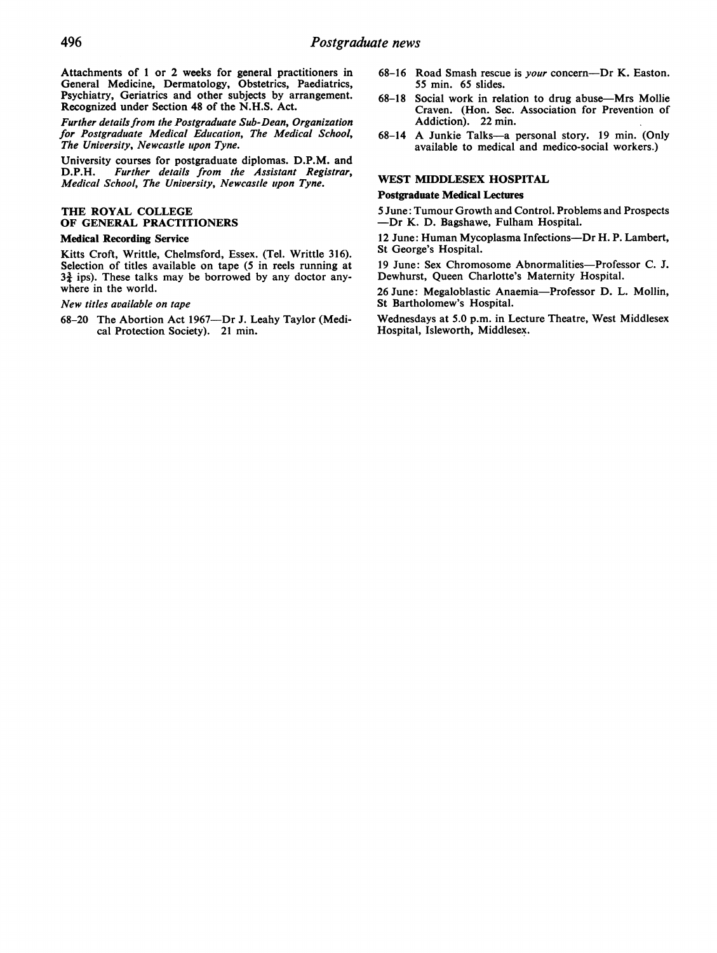Attachments of <sup>1</sup> or 2 weeks for general practitioners in General Medicine, Dermatology, Obstetrics, Paediatrics, Psychiatry, Geriatrics and other subjects by arrangement. Recognized under Section 48 of the N.H.S. Act.

Further details from the Postgraduate Sub-Dean, Organization for Postgraduate Medical Education, The Medical School, The University, Newcastle upon Tyne.

University courses for postgraduate diplomas. D.P.M. and D.P.H. Further details from the Assistant Registrar, D.P.H. Further details from the Assistant Registrar, Medical School, The University, Newcastle upon Tyne.

## THE ROYAL COLLEGE OF GENERAL PRACTITIONERS

#### Medical Recording Service

Kitts Croft, Writtle, Chelmsford, Essex. (Tel. Writtle 316). Selection of titles available on tape (5 in reels running at  $3\frac{3}{4}$  ips). These talks may be borrowed by any doctor anywhere in the world.

New titles available on tape

68-20 The Abortion Act 1967-Dr J. Leahy Taylor (Medi-cal Protection Society). 21 min.

- 68-16 Road Smash rescue is *your* concern----Dr K. Easton. 55 min. 65 slides.
- 68-18 Social work in relation to drug abuse-Mrs Mollie Craven. (Hon. Sec. Association for Prevention of Addiction). 22 min.
- 68-14 A Junkie Talks-a personal story. <sup>19</sup> min. (Only available to medical and medico-social workers.)

## WEST MIDDLESEX HOSPITAL

### Postgraduate Medical Lectures

<sup>5</sup> June: Tumour Growth and Control. Problems and Prospects -Dr K. D. Bagshawe, Fulham Hospital.

<sup>12</sup> June: Human Mycoplasma Infections-Dr H. P. Lambert, St George's Hospital.

19 June: Sex Chromosome Abnormalities-Professor C. J. Dewhurst, Queen Charlotte's Maternity Hospital.

26 June: Megaloblastic Anaemia-Professor D. L. Mollin, St Bartholomew's Hospital.

Wednesdays at 5.0 p.m. in Lecture Theatre, West Middlesex Hospital, Isleworth, Middlesex.